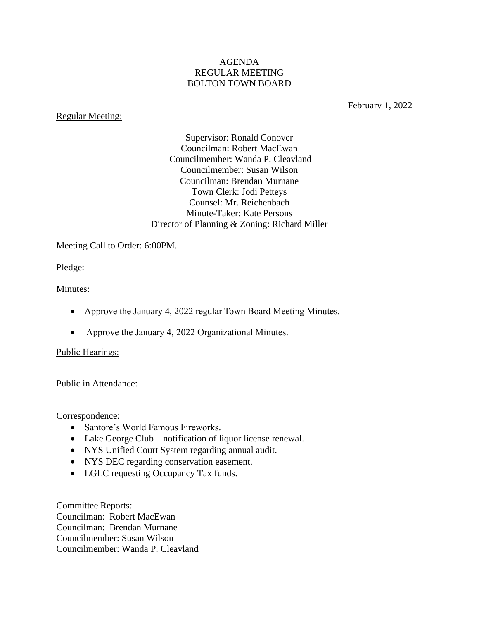## AGENDA REGULAR MEETING BOLTON TOWN BOARD

#### Regular Meeting:

February 1, 2022

Supervisor: Ronald Conover Councilman: Robert MacEwan Councilmember: Wanda P. Cleavland Councilmember: Susan Wilson Councilman: Brendan Murnane Town Clerk: Jodi Petteys Counsel: Mr. Reichenbach Minute-Taker: Kate Persons Director of Planning & Zoning: Richard Miller

## Meeting Call to Order: 6:00PM.

Pledge:

## Minutes:

- Approve the January 4, 2022 regular Town Board Meeting Minutes.
- Approve the January 4, 2022 Organizational Minutes.

# Public Hearings:

# Public in Attendance:

Correspondence:

- Santore's World Famous Fireworks.
- Lake George Club notification of liquor license renewal.
- NYS Unified Court System regarding annual audit.
- NYS DEC regarding conservation easement.
- LGLC requesting Occupancy Tax funds.

Committee Reports: Councilman: Robert MacEwan Councilman: Brendan Murnane Councilmember: Susan Wilson Councilmember: Wanda P. Cleavland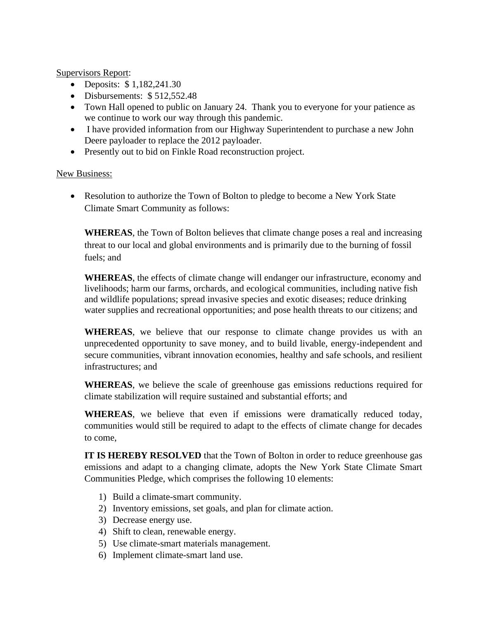Supervisors Report:

- Deposits: \$ 1,182,241.30
- Disbursements: \$512,552.48
- Town Hall opened to public on January 24. Thank you to everyone for your patience as we continue to work our way through this pandemic.
- I have provided information from our Highway Superintendent to purchase a new John Deere payloader to replace the 2012 payloader.
- Presently out to bid on Finkle Road reconstruction project.

#### New Business:

• Resolution to authorize the Town of Bolton to pledge to become a New York State Climate Smart Community as follows:

**WHEREAS**, the Town of Bolton believes that climate change poses a real and increasing threat to our local and global environments and is primarily due to the burning of fossil fuels; and

**WHEREAS**, the effects of climate change will endanger our infrastructure, economy and livelihoods; harm our farms, orchards, and ecological communities, including native fish and wildlife populations; spread invasive species and exotic diseases; reduce drinking water supplies and recreational opportunities; and pose health threats to our citizens; and

**WHEREAS**, we believe that our response to climate change provides us with an unprecedented opportunity to save money, and to build livable, energy-independent and secure communities, vibrant innovation economies, healthy and safe schools, and resilient infrastructures; and

**WHEREAS**, we believe the scale of greenhouse gas emissions reductions required for climate stabilization will require sustained and substantial efforts; and

**WHEREAS**, we believe that even if emissions were dramatically reduced today, communities would still be required to adapt to the effects of climate change for decades to come,

**IT IS HEREBY RESOLVED** that the Town of Bolton in order to reduce greenhouse gas emissions and adapt to a changing climate, adopts the New York State Climate Smart Communities Pledge, which comprises the following 10 elements:

- 1) Build a climate-smart community.
- 2) Inventory emissions, set goals, and plan for climate action.
- 3) Decrease energy use.
- 4) Shift to clean, renewable energy.
- 5) Use climate-smart materials management.
- 6) Implement climate-smart land use.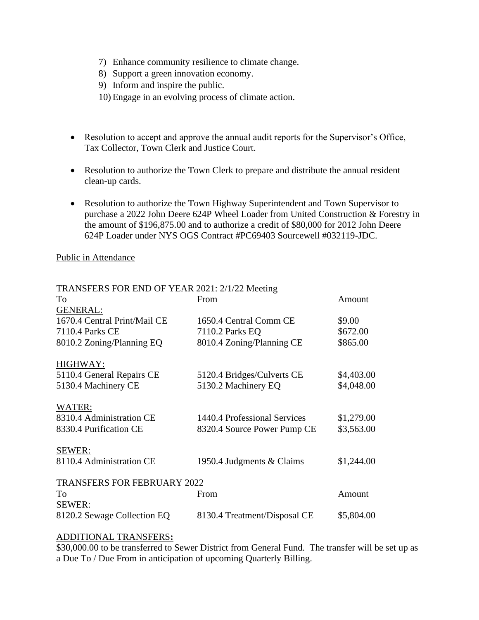- 7) Enhance community resilience to climate change.
- 8) Support a green innovation economy.
- 9) Inform and inspire the public.
- 10) Engage in an evolving process of climate action.
- Resolution to accept and approve the annual audit reports for the Supervisor's Office, Tax Collector, Town Clerk and Justice Court.
- Resolution to authorize the Town Clerk to prepare and distribute the annual resident clean-up cards.
- Resolution to authorize the Town Highway Superintendent and Town Supervisor to purchase a 2022 John Deere 624P Wheel Loader from United Construction & Forestry in the amount of \$196,875.00 and to authorize a credit of \$80,000 for 2012 John Deere 624P Loader under NYS OGS Contract #PC69403 Sourcewell #032119-JDC.

#### Public in Attendance

| TRANSFERS FOR END OF YEAR 2021: 2/1/22 Meeting |                              |            |
|------------------------------------------------|------------------------------|------------|
| To                                             | From                         | Amount     |
| <b>GENERAL:</b>                                |                              |            |
| 1670.4 Central Print/Mail CE                   | 1650.4 Central Comm CE       | \$9.00     |
| 7110.4 Parks CE                                | 7110.2 Parks EQ              | \$672.00   |
| 8010.2 Zoning/Planning EQ                      | 8010.4 Zoning/Planning CE    | \$865.00   |
| HIGHWAY:                                       |                              |            |
| 5110.4 General Repairs CE                      | 5120.4 Bridges/Culverts CE   | \$4,403.00 |
| 5130.4 Machinery CE                            | 5130.2 Machinery EQ          | \$4,048.00 |
| WATER:                                         |                              |            |
| 8310.4 Administration CE                       | 1440.4 Professional Services | \$1,279.00 |
| 8330.4 Purification CE                         | 8320.4 Source Power Pump CE  | \$3,563.00 |
| SEWER:                                         |                              |            |
| 8110.4 Administration CE                       | 1950.4 Judgments & Claims    | \$1,244.00 |
| <b>TRANSFERS FOR FEBRUARY 2022</b>             |                              |            |
| Tο                                             | From                         | Amount     |
| SEWER:                                         |                              |            |
| 8120.2 Sewage Collection EQ                    | 8130.4 Treatment/Disposal CE | \$5,804.00 |

#### ADDITIONAL TRANSFERS**:**

\$30,000.00 to be transferred to Sewer District from General Fund. The transfer will be set up as a Due To / Due From in anticipation of upcoming Quarterly Billing.